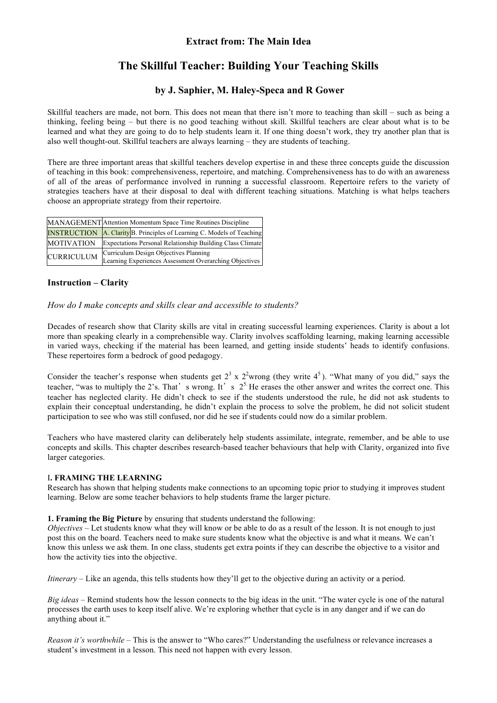# **The Skillful Teacher: Building Your Teaching Skills**

# **by J. Saphier, M. Haley-Speca and R Gower**

Skillful teachers are made, not born. This does not mean that there isn't more to teaching than skill – such as being a thinking, feeling being – but there is no good teaching without skill. Skillful teachers are clear about what is to be learned and what they are going to do to help students learn it. If one thing doesn't work, they try another plan that is also well thought-out. Skillful teachers are always learning – they are students of teaching.

There are three important areas that skillful teachers develop expertise in and these three concepts guide the discussion of teaching in this book: comprehensiveness, repertoire, and matching. Comprehensiveness has to do with an awareness of all of the areas of performance involved in running a successful classroom. Repertoire refers to the variety of strategies teachers have at their disposal to deal with different teaching situations. Matching is what helps teachers choose an appropriate strategy from their repertoire.

|                   | MANAGEMENT Attention Momentum Space Time Routines Discipline                                    |
|-------------------|-------------------------------------------------------------------------------------------------|
|                   | <b>INSTRUCTION</b> A. Clarity B. Principles of Learning C. Models of Teaching                   |
| <b>MOTIVATION</b> | <b>Expectations Personal Relationship Building Class Climate</b>                                |
| <b>CURRICULUM</b> | Curriculum Design Objectives Planning<br>Learning Experiences Assessment Overarching Objectives |

## **Instruction – Clarity**

#### *How do I make concepts and skills clear and accessible to students?*

Decades of research show that Clarity skills are vital in creating successful learning experiences. Clarity is about a lot more than speaking clearly in a comprehensible way. Clarity involves scaffolding learning, making learning accessible in varied ways, checking if the material has been learned, and getting inside students' heads to identify confusions. These repertoires form a bedrock of good pedagogy.

Consider the teacher's response when students get  $2^3 \times 2^2$ wrong (they write  $4^5$ ). "What many of you did," says the teacher, "was to multiply the 2's. That's wrong. It's  $2^5$ . He erases the other answer and writes the correct one. This teacher has neglected clarity. He didn't check to see if the students understood the rule, he did not ask students to explain their conceptual understanding, he didn't explain the process to solve the problem, he did not solicit student participation to see who was still confused, nor did he see if students could now do a similar problem.

Teachers who have mastered clarity can deliberately help students assimilate, integrate, remember, and be able to use concepts and skills. This chapter describes research-based teacher behaviours that help with Clarity, organized into five larger categories.

#### I**. FRAMING THE LEARNING**

Research has shown that helping students make connections to an upcoming topic prior to studying it improves student learning. Below are some teacher behaviors to help students frame the larger picture.

#### **1. Framing the Big Picture** by ensuring that students understand the following:

*Objectives* – Let students know what they will know or be able to do as a result of the lesson. It is not enough to just post this on the board. Teachers need to make sure students know what the objective is and what it means. We can't know this unless we ask them. In one class, students get extra points if they can describe the objective to a visitor and how the activity ties into the objective.

*Itinerary* – Like an agenda, this tells students how they'll get to the objective during an activity or a period.

*Big ideas* – Remind students how the lesson connects to the big ideas in the unit. "The water cycle is one of the natural processes the earth uses to keep itself alive. We're exploring whether that cycle is in any danger and if we can do anything about it."

*Reason it's worthwhile* – This is the answer to "Who cares?" Understanding the usefulness or relevance increases a student's investment in a lesson. This need not happen with every lesson.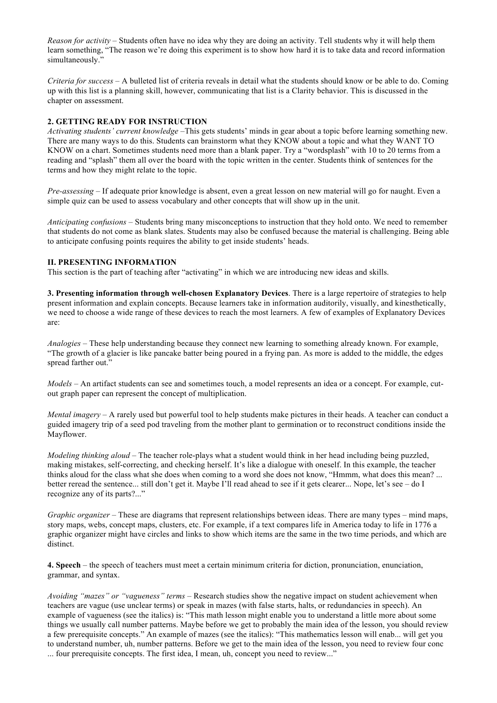*Reason for activity* – Students often have no idea why they are doing an activity. Tell students why it will help them learn something, "The reason we're doing this experiment is to show how hard it is to take data and record information simultaneously.'

*Criteria for success* – A bulleted list of criteria reveals in detail what the students should know or be able to do. Coming up with this list is a planning skill, however, communicating that list is a Clarity behavior. This is discussed in the chapter on assessment.

#### **2. GETTING READY FOR INSTRUCTION**

*Activating students' current knowledge* –This gets students' minds in gear about a topic before learning something new. There are many ways to do this. Students can brainstorm what they KNOW about a topic and what they WANT TO KNOW on a chart. Sometimes students need more than a blank paper. Try a "wordsplash" with 10 to 20 terms from a reading and "splash" them all over the board with the topic written in the center. Students think of sentences for the terms and how they might relate to the topic.

*Pre-assessing* – If adequate prior knowledge is absent, even a great lesson on new material will go for naught. Even a simple quiz can be used to assess vocabulary and other concepts that will show up in the unit.

*Anticipating confusions* – Students bring many misconceptions to instruction that they hold onto. We need to remember that students do not come as blank slates. Students may also be confused because the material is challenging. Being able to anticipate confusing points requires the ability to get inside students' heads.

#### **II. PRESENTING INFORMATION**

This section is the part of teaching after "activating" in which we are introducing new ideas and skills.

**3. Presenting information through well-chosen Explanatory Devices**. There is a large repertoire of strategies to help present information and explain concepts. Because learners take in information auditorily, visually, and kinesthetically, we need to choose a wide range of these devices to reach the most learners. A few of examples of Explanatory Devices are:

*Analogies* – These help understanding because they connect new learning to something already known. For example, "The growth of a glacier is like pancake batter being poured in a frying pan. As more is added to the middle, the edges spread farther out."

*Models* – An artifact students can see and sometimes touch, a model represents an idea or a concept. For example, cutout graph paper can represent the concept of multiplication.

*Mental imagery* – A rarely used but powerful tool to help students make pictures in their heads. A teacher can conduct a guided imagery trip of a seed pod traveling from the mother plant to germination or to reconstruct conditions inside the Mayflower.

*Modeling thinking aloud* – The teacher role-plays what a student would think in her head including being puzzled, making mistakes, self-correcting, and checking herself. It's like a dialogue with oneself. In this example, the teacher thinks aloud for the class what she does when coming to a word she does not know, "Hmmm, what does this mean? ... better reread the sentence... still don't get it. Maybe I'll read ahead to see if it gets clearer... Nope, let's see – do I recognize any of its parts?..."

*Graphic organizer* – These are diagrams that represent relationships between ideas. There are many types – mind maps, story maps, webs, concept maps, clusters, etc. For example, if a text compares life in America today to life in 1776 a graphic organizer might have circles and links to show which items are the same in the two time periods, and which are distinct.

**4. Speech** – the speech of teachers must meet a certain minimum criteria for diction, pronunciation, enunciation, grammar, and syntax.

*Avoiding "mazes" or "vagueness" terms* – Research studies show the negative impact on student achievement when teachers are vague (use unclear terms) or speak in mazes (with false starts, halts, or redundancies in speech). An example of vagueness (see the italics) is: "This math lesson might enable you to understand a little more about some things we usually call number patterns. Maybe before we get to probably the main idea of the lesson, you should review a few prerequisite concepts." An example of mazes (see the italics): "This mathematics lesson will enab... will get you to understand number, uh, number patterns. Before we get to the main idea of the lesson, you need to review four conc ... four prerequisite concepts. The first idea, I mean, uh, concept you need to review..."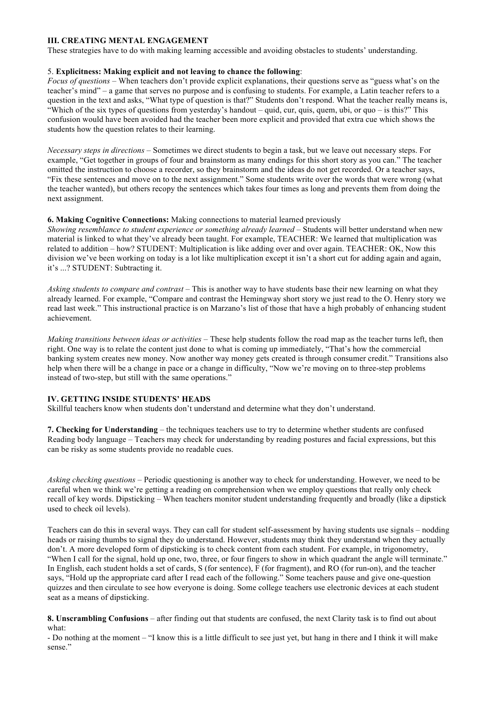#### **III. CREATING MENTAL ENGAGEMENT**

These strategies have to do with making learning accessible and avoiding obstacles to students' understanding.

#### 5. **Explicitness: Making explicit and not leaving to chance the following**:

*Focus of questions* – When teachers don't provide explicit explanations, their questions serve as "guess what's on the teacher's mind" – a game that serves no purpose and is confusing to students. For example, a Latin teacher refers to a question in the text and asks, "What type of question is that?" Students don't respond. What the teacher really means is, "Which of the six types of questions from yesterday's handout – quid, cur, quis, quem, ubi, or quo – is this?" This confusion would have been avoided had the teacher been more explicit and provided that extra cue which shows the students how the question relates to their learning.

*Necessary steps in directions –* Sometimes we direct students to begin a task, but we leave out necessary steps. For example, "Get together in groups of four and brainstorm as many endings for this short story as you can." The teacher omitted the instruction to choose a recorder, so they brainstorm and the ideas do not get recorded. Or a teacher says, "Fix these sentences and move on to the next assignment." Some students write over the words that were wrong (what the teacher wanted), but others recopy the sentences which takes four times as long and prevents them from doing the next assignment.

#### **6. Making Cognitive Connections:** Making connections to material learned previously

*Showing resemblance to student experience or something already learned* – Students will better understand when new material is linked to what they've already been taught. For example, TEACHER: We learned that multiplication was related to addition – how? STUDENT: Multiplication is like adding over and over again. TEACHER: OK, Now this division we've been working on today is a lot like multiplication except it isn't a short cut for adding again and again, it's ...? STUDENT: Subtracting it.

*Asking students to compare and contrast* – This is another way to have students base their new learning on what they already learned. For example, "Compare and contrast the Hemingway short story we just read to the O. Henry story we read last week." This instructional practice is on Marzano's list of those that have a high probably of enhancing student achievement.

*Making transitions between ideas or activities* – These help students follow the road map as the teacher turns left, then right. One way is to relate the content just done to what is coming up immediately, "That's how the commercial banking system creates new money. Now another way money gets created is through consumer credit." Transitions also help when there will be a change in pace or a change in difficulty, "Now we're moving on to three-step problems instead of two-step, but still with the same operations."

#### **IV. GETTING INSIDE STUDENTS' HEADS**

Skillful teachers know when students don't understand and determine what they don't understand.

**7. Checking for Understanding** – the techniques teachers use to try to determine whether students are confused Reading body language – Teachers may check for understanding by reading postures and facial expressions, but this can be risky as some students provide no readable cues.

*Asking checking questions* – Periodic questioning is another way to check for understanding. However, we need to be careful when we think we're getting a reading on comprehension when we employ questions that really only check recall of key words. Dipsticking – When teachers monitor student understanding frequently and broadly (like a dipstick used to check oil levels).

Teachers can do this in several ways. They can call for student self-assessment by having students use signals – nodding heads or raising thumbs to signal they do understand. However, students may think they understand when they actually don't. A more developed form of dipsticking is to check content from each student. For example, in trigonometry, "When I call for the signal, hold up one, two, three, or four fingers to show in which quadrant the angle will terminate." In English, each student holds a set of cards, S (for sentence), F (for fragment), and RO (for run-on), and the teacher says, "Hold up the appropriate card after I read each of the following." Some teachers pause and give one-question quizzes and then circulate to see how everyone is doing. Some college teachers use electronic devices at each student seat as a means of dipsticking.

**8. Unscrambling Confusions** – after finding out that students are confused, the next Clarity task is to find out about what:

- Do nothing at the moment – "I know this is a little difficult to see just yet, but hang in there and I think it will make sense."